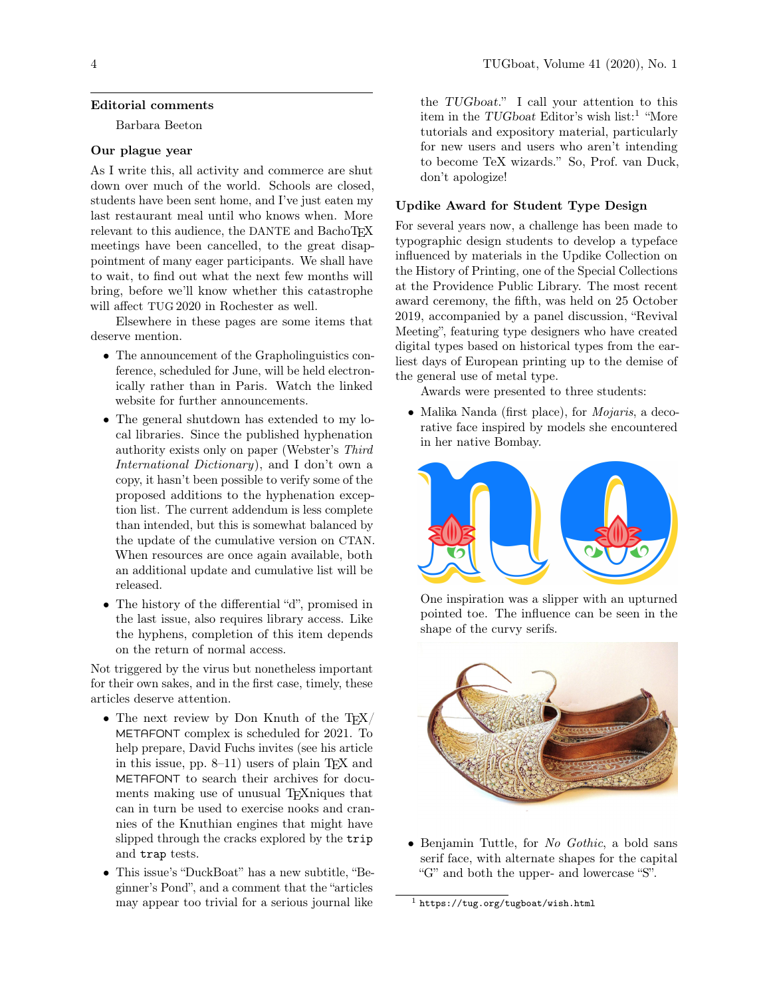#### Editorial comments

Barbara Beeton

### Our plague year

As I write this, all activity and commerce are shut down over much of the world. Schools are closed, students have been sent home, and I've just eaten my last restaurant meal until who knows when. More relevant to this audience, the DANTE and BachoTEX meetings have been cancelled, to the great disappointment of many eager participants. We shall have to wait, to find out what the next few months will bring, before we'll know whether this catastrophe will affect TUG 2020 in Rochester as well.

Elsewhere in these pages are some items that deserve mention.

- The announcement of the Grapholinguistics conference, scheduled for June, will be held electronically rather than in Paris. Watch the linked website for further announcements.
- The general shutdown has extended to my local libraries. Since the published hyphenation authority exists only on paper (Webster's Third International Dictionary), and I don't own a copy, it hasn't been possible to verify some of the proposed additions to the hyphenation exception list. The current addendum is less complete than intended, but this is somewhat balanced by the update of the cumulative version on CTAN. When resources are once again available, both an additional update and cumulative list will be released.
- The history of the differential "d", promised in the last issue, also requires library access. Like the hyphens, completion of this item depends on the return of normal access.

Not triggered by the virus but nonetheless important for their own sakes, and in the first case, timely, these articles deserve attention.

- The next review by Don Knuth of the TFX/ METAFONT complex is scheduled for 2021. To help prepare, David Fuchs invites (see his article in this issue, pp.  $8-11$ ) users of plain T<sub>E</sub>X and METAFONT to search their archives for documents making use of unusual T<sub>E</sub>Xniques that can in turn be used to exercise nooks and crannies of the Knuthian engines that might have slipped through the cracks explored by the trip and trap tests.
- This issue's "DuckBoat" has a new subtitle, "Beginner's Pond", and a comment that the "articles may appear too trivial for a serious journal like

the TUGboat." I call your attention to this item in the TUGboat Editor's wish list:<sup>[1](#page-0-0)</sup> "More tutorials and expository material, particularly for new users and users who aren't intending to become TeX wizards." So, Prof. van Duck, don't apologize!

#### Updike Award for Student Type Design

For several years now, a challenge has been made to typographic design students to develop a typeface influenced by materials in the Updike Collection on the History of Printing, one of the Special Collections at the Providence Public Library. The most recent award ceremony, the fifth, was held on 25 October 2019, accompanied by a panel discussion, "Revival Meeting", featuring type designers who have created digital types based on historical types from the earliest days of European printing up to the demise of the general use of metal type.

Awards were presented to three students:

• Malika Nanda (first place), for *Mojaris*, a decorative face inspired by models she encountered in her native Bombay.



One inspiration was a slipper with an upturned pointed toe. The influence can be seen in the shape of the curvy serifs.



• Benjamin Tuttle, for No Gothic, a bold sans serif face, with alternate shapes for the capital "G" and both the upper- and lowercase "S".

<span id="page-0-0"></span> $<sup>1</sup>$  <https://tug.org/tugboat/wish.html></sup>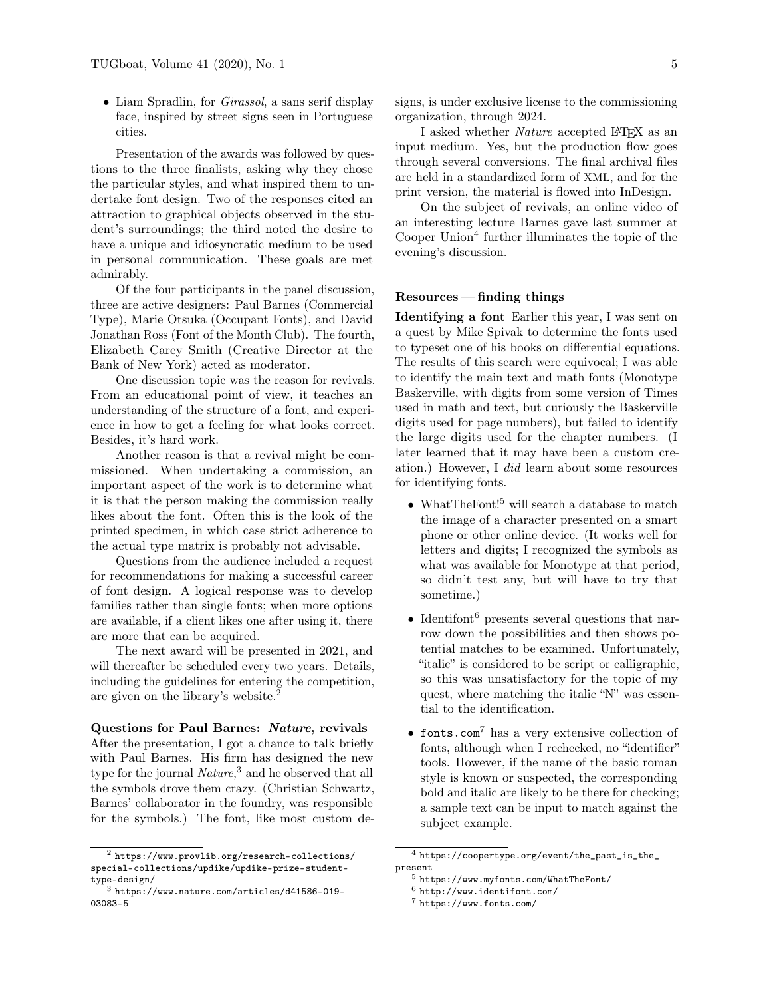• Liam Spradlin, for *Girassol*, a sans serif display face, inspired by street signs seen in Portuguese cities.

Presentation of the awards was followed by questions to the three finalists, asking why they chose the particular styles, and what inspired them to undertake font design. Two of the responses cited an attraction to graphical objects observed in the student's surroundings; the third noted the desire to have a unique and idiosyncratic medium to be used in personal communication. These goals are met admirably.

Of the four participants in the panel discussion, three are active designers: Paul Barnes (Commercial Type), Marie Otsuka (Occupant Fonts), and David Jonathan Ross (Font of the Month Club). The fourth, Elizabeth Carey Smith (Creative Director at the Bank of New York) acted as moderator.

One discussion topic was the reason for revivals. From an educational point of view, it teaches an understanding of the structure of a font, and experience in how to get a feeling for what looks correct. Besides, it's hard work.

Another reason is that a revival might be commissioned. When undertaking a commission, an important aspect of the work is to determine what it is that the person making the commission really likes about the font. Often this is the look of the printed specimen, in which case strict adherence to the actual type matrix is probably not advisable.

Questions from the audience included a request for recommendations for making a successful career of font design. A logical response was to develop families rather than single fonts; when more options are available, if a client likes one after using it, there are more that can be acquired.

The next award will be presented in 2021, and will thereafter be scheduled every two years. Details, including the guidelines for entering the competition, are given on the library's website.[2](#page-1-0)

Questions for Paul Barnes: Nature, revivals After the presentation, I got a chance to talk briefly with Paul Barnes. His firm has designed the new type for the journal  $\textit{Native},^3$  $\textit{Native},^3$  and he observed that all the symbols drove them crazy. (Christian Schwartz, Barnes' collaborator in the foundry, was responsible for the symbols.) The font, like most custom designs, is under exclusive license to the commissioning organization, through 2024.

I asked whether Nature accepted L<sup>AT</sup>EX as an input medium. Yes, but the production flow goes through several conversions. The final archival files are held in a standardized form of XML, and for the print version, the material is flowed into InDesign.

On the subject of revivals, an online video of an interesting lecture Barnes gave last summer at Cooper Union<sup>[4](#page-1-2)</sup> further illuminates the topic of the evening's discussion.

## Resources — finding things

Identifying a font Earlier this year, I was sent on a quest by Mike Spivak to determine the fonts used to typeset one of his books on differential equations. The results of this search were equivocal; I was able to identify the main text and math fonts (Monotype Baskerville, with digits from some version of Times used in math and text, but curiously the Baskerville digits used for page numbers), but failed to identify the large digits used for the chapter numbers. (I later learned that it may have been a custom creation.) However, I did learn about some resources for identifying fonts.

- WhatTheFont!<sup>[5](#page-1-3)</sup> will search a database to match the image of a character presented on a smart phone or other online device. (It works well for letters and digits; I recognized the symbols as what was available for Monotype at that period, so didn't test any, but will have to try that sometime.)
- Identifont<sup>[6](#page-1-4)</sup> presents several questions that narrow down the possibilities and then shows potential matches to be examined. Unfortunately, "italic" is considered to be script or calligraphic, so this was unsatisfactory for the topic of my quest, where matching the italic "N" was essential to the identification.
- fonts.com[7](#page-1-5) has a very extensive collection of fonts, although when I rechecked, no "identifier" tools. However, if the name of the basic roman style is known or suspected, the corresponding bold and italic are likely to be there for checking; a sample text can be input to match against the subject example.

<span id="page-1-0"></span><sup>2</sup> [https://www.provlib.org/research-collections/](https://www.provlib.org/research-collections/special-collections/updike/updike-prize-student-type-design/) [special-collections/updike/updike-prize-student](https://www.provlib.org/research-collections/special-collections/updike/updike-prize-student-type-design/)[type-design/](https://www.provlib.org/research-collections/special-collections/updike/updike-prize-student-type-design/)

<span id="page-1-1"></span> $3$  [https://www.nature.com/articles/d41586-019-](https://www.nature.com/articles/d41586-019-03083-5) [03083-5](https://www.nature.com/articles/d41586-019-03083-5)

<span id="page-1-2"></span> $^4$ [https://coopertype.org/event/the\\_past\\_is\\_the\\_](https://coopertype.org/event/the_past_is_the_present) [present](https://coopertype.org/event/the_past_is_the_present)

<span id="page-1-3"></span><sup>5</sup> <https://www.myfonts.com/WhatTheFont/>

<span id="page-1-4"></span> $6$  <http://www.identifont.com/>

<span id="page-1-5"></span><sup>7</sup> <https://www.fonts.com/>